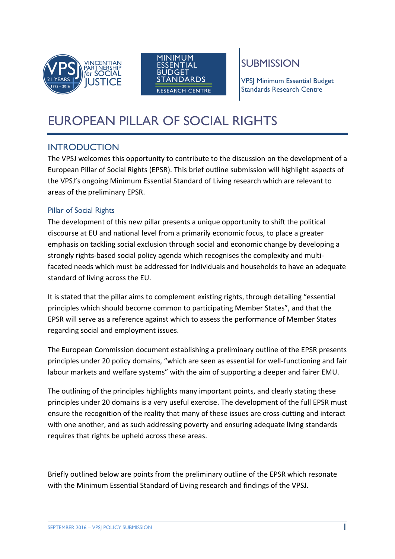



# SUBMISSION

VPSJ Minimum Essential Budget Standards Research Centre

# EUROPEAN PILLAR OF SOCIAL RIGHTS

# INTRODUCTION

The VPSJ welcomes this opportunity to contribute to the discussion on the development of a European Pillar of Social Rights (EPSR). This brief outline submission will highlight aspects of the VPSJ's ongoing Minimum Essential Standard of Living research which are relevant to areas of the preliminary EPSR.

## Pillar of Social Rights

The development of this new pillar presents a unique opportunity to shift the political discourse at EU and national level from a primarily economic focus, to place a greater emphasis on tackling social exclusion through social and economic change by developing a strongly rights-based social policy agenda which recognises the complexity and multifaceted needs which must be addressed for individuals and households to have an adequate standard of living across the EU.

It is stated that the pillar aims to complement existing rights, through detailing "essential principles which should become common to participating Member States", and that the EPSR will serve as a reference against which to assess the performance of Member States regarding social and employment issues.

The European Commission document establishing a preliminary outline of the EPSR presents principles under 20 policy domains, "which are seen as essential for well-functioning and fair labour markets and welfare systems" with the aim of supporting a deeper and fairer EMU.

The outlining of the principles highlights many important points, and clearly stating these principles under 20 domains is a very useful exercise. The development of the full EPSR must ensure the recognition of the reality that many of these issues are cross-cutting and interact with one another, and as such addressing poverty and ensuring adequate living standards requires that rights be upheld across these areas.

Briefly outlined below are points from the preliminary outline of the EPSR which resonate with the Minimum Essential Standard of Living research and findings of the VPSJ.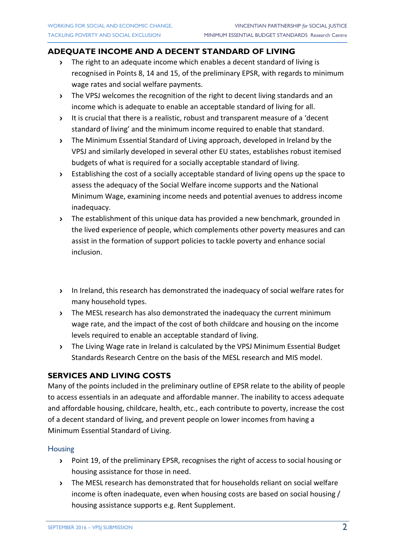## **ADEQUATE INCOME AND A DECENT STANDARD OF LIVING**

- **›** The right to an adequate income which enables a decent standard of living is recognised in Points 8, 14 and 15, of the preliminary EPSR, with regards to minimum wage rates and social welfare payments.
- **›** The VPSJ welcomes the recognition of the right to decent living standards and an income which is adequate to enable an acceptable standard of living for all.
- **›** It is crucial that there is a realistic, robust and transparent measure of a 'decent standard of living' and the minimum income required to enable that standard.
- **›** The Minimum Essential Standard of Living approach, developed in Ireland by the VPSJ and similarly developed in several other EU states, establishes robust itemised budgets of what is required for a socially acceptable standard of living.
- **›** Establishing the cost of a socially acceptable standard of living opens up the space to assess the adequacy of the Social Welfare income supports and the National Minimum Wage, examining income needs and potential avenues to address income inadequacy.
- **›** The establishment of this unique data has provided a new benchmark, grounded in the lived experience of people, which complements other poverty measures and can assist in the formation of support policies to tackle poverty and enhance social inclusion.
- **›** In Ireland, this research has demonstrated the inadequacy of social welfare rates for many household types.
- **›** The MESL research has also demonstrated the inadequacy the current minimum wage rate, and the impact of the cost of both childcare and housing on the income levels required to enable an acceptable standard of living.
- **›** The Living Wage rate in Ireland is calculated by the VPSJ Minimum Essential Budget Standards Research Centre on the basis of the MESL research and MIS model.

# **SERVICES AND LIVING COSTS**

Many of the points included in the preliminary outline of EPSR relate to the ability of people to access essentials in an adequate and affordable manner. The inability to access adequate and affordable housing, childcare, health, etc., each contribute to poverty, increase the cost of a decent standard of living, and prevent people on lower incomes from having a Minimum Essential Standard of Living.

#### **Housing**

- **›** Point 19, of the preliminary EPSR, recognises the right of access to social housing or housing assistance for those in need.
- **›** The MESL research has demonstrated that for households reliant on social welfare income is often inadequate, even when housing costs are based on social housing / housing assistance supports e.g. Rent Supplement.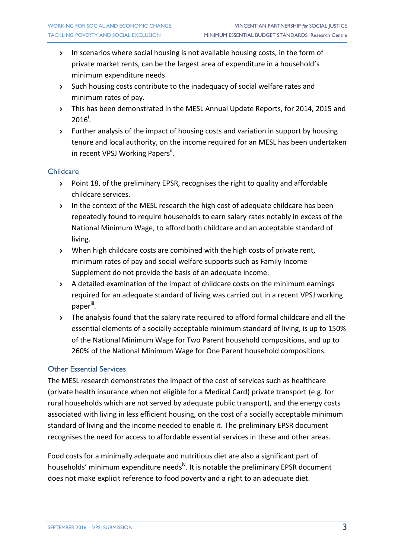- **›** In scenarios where social housing is not available housing costs, in the form of private market rents, can be the largest area of expenditure in a household's minimum expenditure needs.
- **›** Such housing costs contribute to the inadequacy of social welfare rates and minimum rates of pay.
- **›** This has been demonstrated in the MESL Annual Update Reports, for 2014, 2015 and  $2016^{\dagger}$ .
- **›** Further analysis of the impact of housing costs and variation in support by housing tenure and local authority, on the income required for an MESL has been undertaken in recent VPSJ Working Papers<sup>ii</sup>.

#### **Childcare**

- **›** Point 18, of the preliminary EPSR, recognises the right to quality and affordable childcare services.
- **›** In the context of the MESL research the high cost of adequate childcare has been repeatedly found to require households to earn salary rates notably in excess of the National Minimum Wage, to afford both childcare and an acceptable standard of living.
- **›** When high childcare costs are combined with the high costs of private rent, minimum rates of pay and social welfare supports such as Family Income Supplement do not provide the basis of an adequate income.
- **›** A detailed examination of the impact of childcare costs on the minimum earnings required for an adequate standard of living was carried out in a recent VPSJ working paper<sup>iii</sup>.
- **›** The analysis found that the salary rate required to afford formal childcare and all the essential elements of a socially acceptable minimum standard of living, is up to 150% of the National Minimum Wage for Two Parent household compositions, and up to 260% of the National Minimum Wage for One Parent household compositions.

#### Other Essential Services

The MESL research demonstrates the impact of the cost of services such as healthcare (private health insurance when not eligible for a Medical Card) private transport (e.g. for rural households which are not served by adequate public transport), and the energy costs associated with living in less efficient housing, on the cost of a socially acceptable minimum standard of living and the income needed to enable it. The preliminary EPSR document recognises the need for access to affordable essential services in these and other areas.

Food costs for a minimally adequate and nutritious diet are also a significant part of households' minimum expenditure needs<sup>iv</sup>. It is notable the preliminary EPSR document does not make explicit reference to food poverty and a right to an adequate diet.